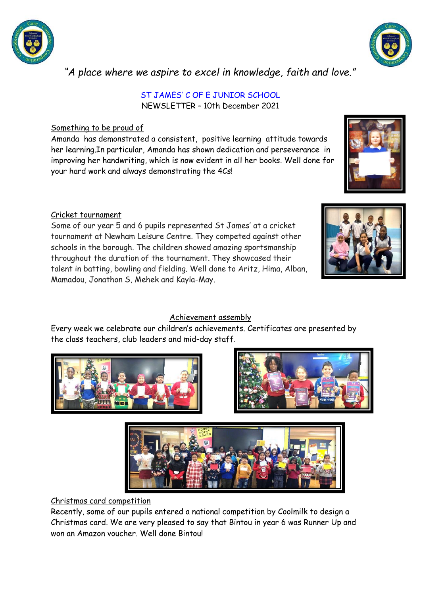



# *"A place where we aspire to excel in knowledge, faith and love."*

#### ST JAMES' C OF E JUNIOR SCHOOL NEWSLETTER – 10th December 2021

# Something to be proud of

Amanda has demonstrated a consistent, positive learning attitude towards her learning.In particular, Amanda has shown dedication and perseverance in improving her handwriting, which is now evident in all her books. Well done for your hard work and always demonstrating the 4Cs!

# Cricket tournament

Some of our year 5 and 6 pupils represented St James' at a cricket tournament at Newham Leisure Centre. They competed against other schools in the borough. The children showed amazing sportsmanship throughout the duration of the tournament. They showcased their talent in batting, bowling and fielding. Well done to Aritz, Hima, Alban, Mamadou, Jonathon S, Mehek and Kayla-May.



## Achievement assembly

Every week we celebrate our children's achievements. Certificates are presented by the class teachers, club leaders and mid-day staff.







## Christmas card competition

Recently, some of our pupils entered a national competition by Coolmilk to design a Christmas card. We are very pleased to say that Bintou in year 6 was Runner Up and won an Amazon voucher. Well done Bintou!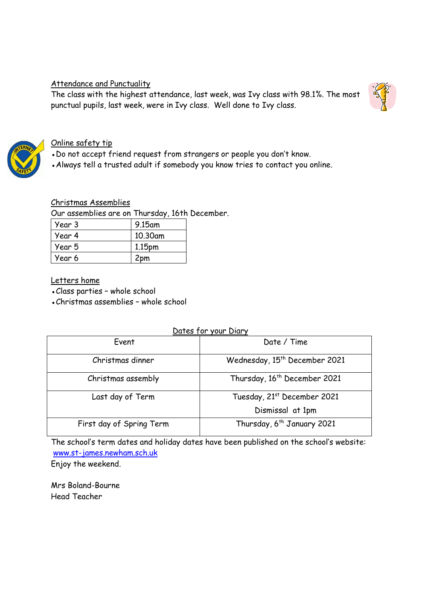# Attendance and Punctuality

The class with the highest attendance, last week, was Ivy class with 98.1%. The most punctual pupils, last week, were in Ivy class. Well done to Ivy class.





## Online safety tip

• Do not accept friend request from strangers or people you don't know.

• Always tell a trusted adult if somebody you know tries to contact you online.

## Christmas Assemblies

Our assemblies are on Thursday, 16th December.

| Year 3 | 9.15am             |
|--------|--------------------|
| Year 4 | 10.30am            |
| Year 5 | 1.15 <sub>pm</sub> |
| Year 6 | 2pm                |

# Letters home

• Class parties - whole school

• Christmas assemblies - whole school

## Dates for your Diary

| Event                    | Date / Time                               |
|--------------------------|-------------------------------------------|
| Christmas dinner         | Wednesday, 15 <sup>th</sup> December 2021 |
| Christmas assembly       | Thursday, 16 <sup>th</sup> December 2021  |
| Last day of Term         | Tuesday, 21st December 2021               |
|                          | Dismissal at 1pm                          |
| First day of Spring Term | Thursday, 6 <sup>th</sup> January 2021    |

The school's term dates and holiday dates have been published on the school's website: [www.st-james.newham.sch.uk](http://www.st-james.newham.sch.uk/)

Enjoy the weekend.

Mrs Boland-Bourne Head Teacher